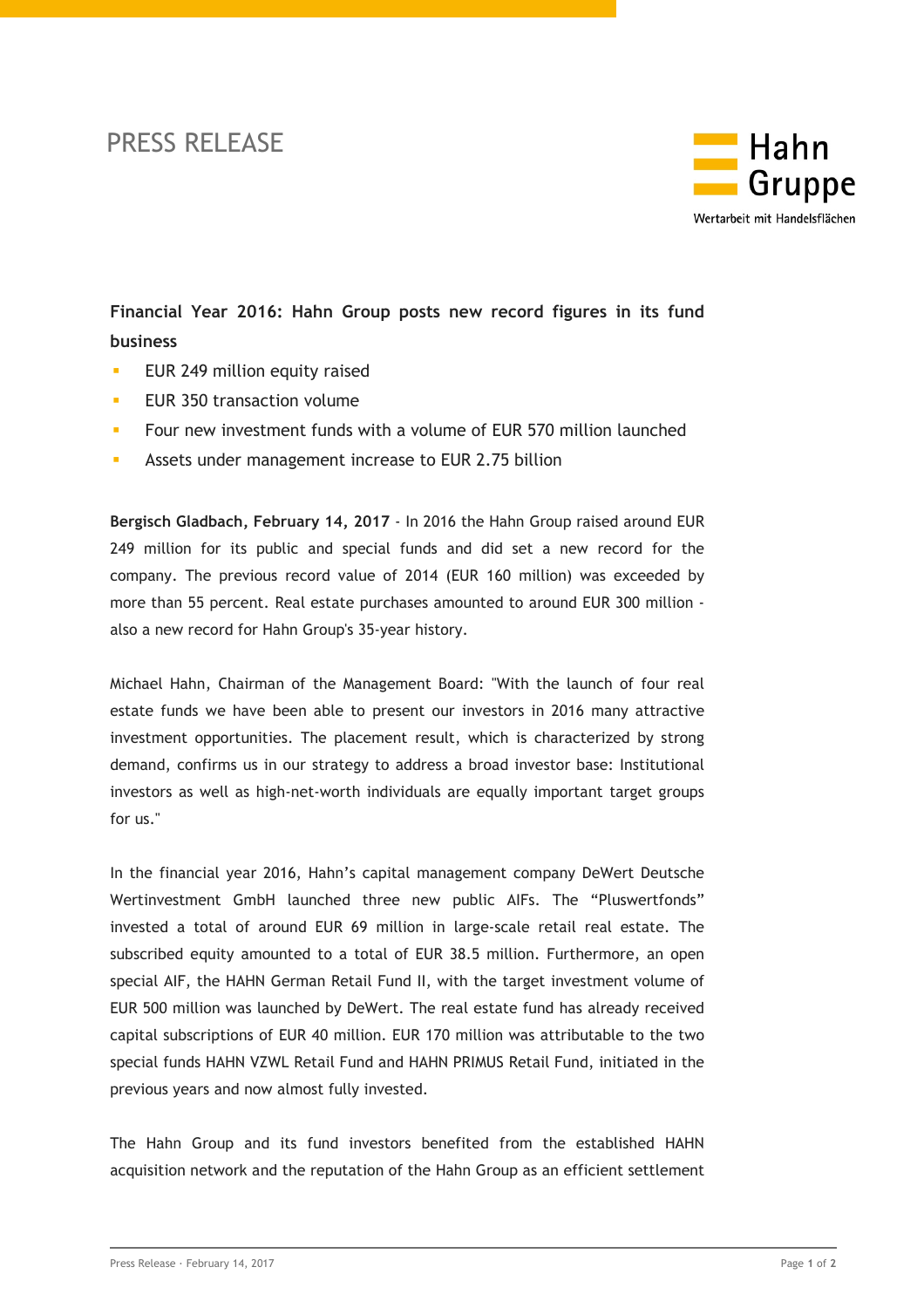## PRESS RELEASE



**Financial Year 2016: Hahn Group posts new record figures in its fund business**

- EUR 249 million equity raised
- **EUR 350 transaction volume**
- **F** Four new investment funds with a volume of EUR 570 million launched
- **Assets under management increase to EUR 2.75 billion**

**Bergisch Gladbach, February 14, 2017** - In 2016 the Hahn Group raised around EUR 249 million for its public and special funds and did set a new record for the company. The previous record value of 2014 (EUR 160 million) was exceeded by more than 55 percent. Real estate purchases amounted to around EUR 300 million also a new record for Hahn Group's 35-year history.

Michael Hahn, Chairman of the Management Board: "With the launch of four real estate funds we have been able to present our investors in 2016 many attractive investment opportunities. The placement result, which is characterized by strong demand, confirms us in our strategy to address a broad investor base: Institutional investors as well as high-net-worth individuals are equally important target groups for us."

In the financial year 2016, Hahn's capital management company DeWert Deutsche Wertinvestment GmbH launched three new public AIFs. The "Pluswertfonds" invested a total of around EUR 69 million in large-scale retail real estate. The subscribed equity amounted to a total of EUR 38.5 million. Furthermore, an open special AIF, the HAHN German Retail Fund II, with the target investment volume of EUR 500 million was launched by DeWert. The real estate fund has already received capital subscriptions of EUR 40 million. EUR 170 million was attributable to the two special funds HAHN VZWL Retail Fund and HAHN PRIMUS Retail Fund, initiated in the previous years and now almost fully invested.

The Hahn Group and its fund investors benefited from the established HAHN acquisition network and the reputation of the Hahn Group as an efficient settlement